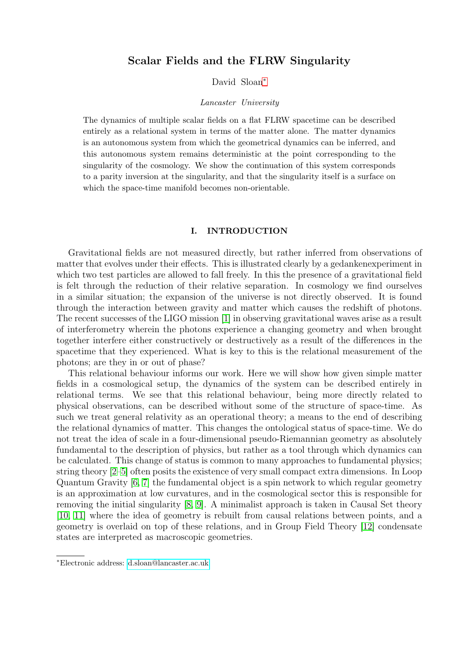# Scalar Fields and the FLRW Singularity

# David Sloan[∗](#page-0-0)

#### Lancaster University

The dynamics of multiple scalar fields on a flat FLRW spacetime can be described entirely as a relational system in terms of the matter alone. The matter dynamics is an autonomous system from which the geometrical dynamics can be inferred, and this autonomous system remains deterministic at the point corresponding to the singularity of the cosmology. We show the continuation of this system corresponds to a parity inversion at the singularity, and that the singularity itself is a surface on which the space-time manifold becomes non-orientable.

### I. INTRODUCTION

Gravitational fields are not measured directly, but rather inferred from observations of matter that evolves under their effects. This is illustrated clearly by a gedankenexperiment in which two test particles are allowed to fall freely. In this the presence of a gravitational field is felt through the reduction of their relative separation. In cosmology we find ourselves in a similar situation; the expansion of the universe is not directly observed. It is found through the interaction between gravity and matter which causes the redshift of photons. The recent successes of the LIGO mission [\[1\]](#page-16-0) in observing gravitational waves arise as a result of interferometry wherein the photons experience a changing geometry and when brought together interfere either constructively or destructively as a result of the differences in the spacetime that they experienced. What is key to this is the relational measurement of the photons; are they in or out of phase?

This relational behaviour informs our work. Here we will show how given simple matter fields in a cosmological setup, the dynamics of the system can be described entirely in relational terms. We see that this relational behaviour, being more directly related to physical observations, can be described without some of the structure of space-time. As such we treat general relativity as an operational theory; a means to the end of describing the relational dynamics of matter. This changes the ontological status of space-time. We do not treat the idea of scale in a four-dimensional pseudo-Riemannian geometry as absolutely fundamental to the description of physics, but rather as a tool through which dynamics can be calculated. This change of status is common to many approaches to fundamental physics; string theory [\[2–](#page-16-1)[5\]](#page-16-2) often posits the existence of very small compact extra dimensions. In Loop Quantum Gravity [\[6,](#page-16-3) [7\]](#page-16-4) the fundamental object is a spin network to which regular geometry is an approximation at low curvatures, and in the cosmological sector this is responsible for removing the initial singularity [\[8,](#page-16-5) [9\]](#page-16-6). A minimalist approach is taken in Causal Set theory [\[10,](#page-16-7) [11\]](#page-17-0) where the idea of geometry is rebuilt from causal relations between points, and a geometry is overlaid on top of these relations, and in Group Field Theory [\[12\]](#page-17-1) condensate states are interpreted as macroscopic geometries.

<span id="page-0-0"></span><sup>∗</sup>Electronic address: [d.sloan@lancaster.ac.uk](mailto:d.sloan@lancaster.ac.uk)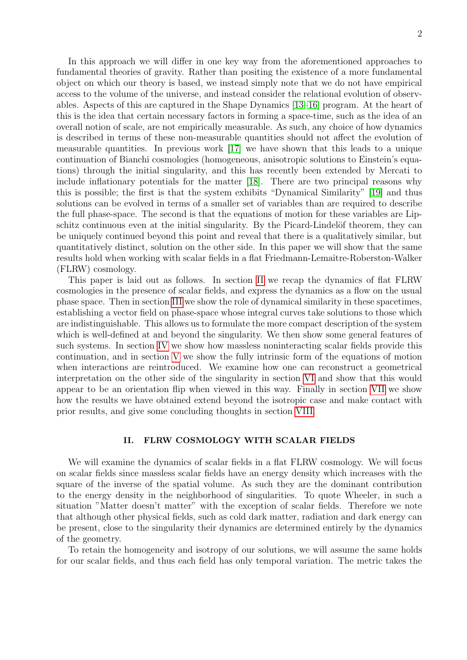In this approach we will differ in one key way from the aforementioned approaches to fundamental theories of gravity. Rather than positing the existence of a more fundamental object on which our theory is based, we instead simply note that we do not have empirical access to the volume of the universe, and instead consider the relational evolution of observables. Aspects of this are captured in the Shape Dynamics [\[13–](#page-17-2)[16\]](#page-17-3) program. At the heart of this is the idea that certain necessary factors in forming a space-time, such as the idea of an overall notion of scale, are not empirically measurable. As such, any choice of how dynamics is described in terms of these non-measurable quantities should not affect the evolution of measurable quantities. In previous work [\[17\]](#page-17-4) we have shown that this leads to a unique continuation of Bianchi cosmologies (homogeneous, anisotropic solutions to Einstein's equations) through the initial singularity, and this has recently been extended by Mercati to include inflationary potentials for the matter [\[18\]](#page-17-5). There are two principal reasons why this is possible; the first is that the system exhibits "Dynamical Similarity" [\[19\]](#page-17-6) and thus solutions can be evolved in terms of a smaller set of variables than are required to describe the full phase-space. The second is that the equations of motion for these variables are Lipschitz continuous even at the initial singularity. By the Picard-Lindelöf theorem, they can be uniquely continued beyond this point and reveal that there is a qualitatively similar, but quantitatively distinct, solution on the other side. In this paper we will show that the same results hold when working with scalar fields in a flat Friedmann-Lemaître-Roberston-Walker (FLRW) cosmology.

This paper is laid out as follows. In section [II](#page-1-0) we recap the dynamics of flat FLRW cosmologies in the presence of scalar fields, and express the dynamics as a flow on the usual phase space. Then in section [III](#page-3-0) we show the role of dynamical similarity in these spacetimes, establishing a vector field on phase-space whose integral curves take solutions to those which are indistinguishable. This allows us to formulate the more compact description of the system which is well-defined at and beyond the singularity. We then show some general features of such systems. In section [IV](#page-5-0) we show how massless noninteracting scalar fields provide this continuation, and in section [V](#page-7-0) we show the fully intrinsic form of the equations of motion when interactions are reintroduced. We examine how one can reconstruct a geometrical interpretation on the other side of the singularity in section [VI](#page-9-0) and show that this would appear to be an orientation flip when viewed in this way. Finally in section [VII](#page-13-0) we show how the results we have obtained extend beyond the isotropic case and make contact with prior results, and give some concluding thoughts in section [VIII.](#page-14-0)

# <span id="page-1-0"></span>II. FLRW COSMOLOGY WITH SCALAR FIELDS

We will examine the dynamics of scalar fields in a flat FLRW cosmology. We will focus on scalar fields since massless scalar fields have an energy density which increases with the square of the inverse of the spatial volume. As such they are the dominant contribution to the energy density in the neighborhood of singularities. To quote Wheeler, in such a situation "Matter doesn't matter" with the exception of scalar fields. Therefore we note that although other physical fields, such as cold dark matter, radiation and dark energy can be present, close to the singularity their dynamics are determined entirely by the dynamics of the geometry.

To retain the homogeneity and isotropy of our solutions, we will assume the same holds for our scalar fields, and thus each field has only temporal variation. The metric takes the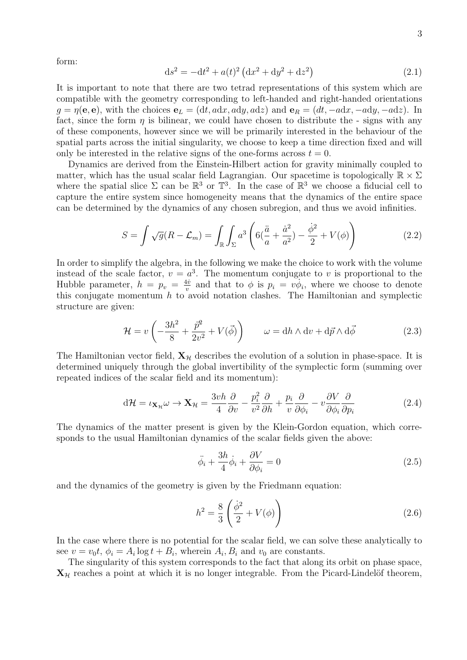form:

$$
ds^{2} = -dt^{2} + a(t)^{2} (dx^{2} + dy^{2} + dz^{2})
$$
\n(2.1)

It is important to note that there are two tetrad representations of this system which are compatible with the geometry corresponding to left-handed and right-handed orientations  $g = \eta(\mathbf{e}, \mathbf{e})$ , with the choices  $\mathbf{e}_L = (\mathrm{d}t, \mathrm{ad}x, \mathrm{ad}y, \mathrm{ad}z)$  and  $\mathbf{e}_R = (dt, -\mathrm{ad}x, -\mathrm{ad}y, -\mathrm{ad}z)$ . In fact, since the form  $\eta$  is bilinear, we could have chosen to distribute the - signs with any of these components, however since we will be primarily interested in the behaviour of the spatial parts across the initial singularity, we choose to keep a time direction fixed and will only be interested in the relative signs of the one-forms across  $t = 0$ .

Dynamics are derived from the Einstein-Hilbert action for gravity minimally coupled to matter, which has the usual scalar field Lagrangian. Our spacetime is topologically  $\mathbb{R} \times \Sigma$ where the spatial slice  $\Sigma$  can be  $\mathbb{R}^3$  or  $\mathbb{T}^3$ . In the case of  $\mathbb{R}^3$  we choose a fiducial cell to capture the entire system since homogeneity means that the dynamics of the entire space can be determined by the dynamics of any chosen subregion, and thus we avoid infinities.

$$
S = \int \sqrt{g}(R - \mathcal{L}_m) = \int_{\mathbb{R}} \int_{\Sigma} a^3 \left( 6\left(\frac{\ddot{a}}{a} + \frac{\dot{a}^2}{a^2}\right) - \frac{\dot{\phi}^2}{2} + V(\phi) \right) \tag{2.2}
$$

In order to simplify the algebra, in the following we make the choice to work with the volume instead of the scale factor,  $v = a^3$ . The momentum conjugate to v is proportional to the Hubble parameter,  $h = p_v = \frac{4v}{v}$  $\frac{4\dot{v}}{v}$  and that to  $\phi$  is  $p_i = v\dot{\phi}_i$ , where we choose to denote this conjugate momentum  $h$  to avoid notation clashes. The Hamiltonian and symplectic structure are given:

$$
\mathcal{H} = v \left( -\frac{3h^2}{8} + \frac{\bar{p}^2}{2v^2} + V(\vec{\phi}) \right) \qquad \omega = dh \wedge dv + d\vec{p} \wedge d\vec{\phi}
$$
 (2.3)

The Hamiltonian vector field,  $X_{\mathcal{H}}$  describes the evolution of a solution in phase-space. It is determined uniquely through the global invertibility of the symplectic form (summing over repeated indices of the scalar field and its momentum):

$$
d\mathcal{H} = \iota_{\mathbf{X}_{\mathcal{H}}} \omega \to \mathbf{X}_{\mathcal{H}} = \frac{3v h}{4} \frac{\partial}{\partial v} - \frac{p_i^2}{v^2} \frac{\partial}{\partial h} + \frac{p_i}{v} \frac{\partial}{\partial \phi_i} - v \frac{\partial V}{\partial \phi_i} \frac{\partial}{\partial p_i}
$$
(2.4)

The dynamics of the matter present is given by the Klein-Gordon equation, which corresponds to the usual Hamiltonian dynamics of the scalar fields given the above:

<span id="page-2-0"></span>
$$
\ddot{\phi}_i + \frac{3h}{4}\dot{\phi}_i + \frac{\partial V}{\partial \phi_i} = 0
$$
\n(2.5)

and the dynamics of the geometry is given by the Friedmann equation:

$$
h^2 = \frac{8}{3} \left( \frac{\dot{\phi}^2}{2} + V(\phi) \right)
$$
 (2.6)

In the case where there is no potential for the scalar field, we can solve these analytically to see  $v = v_0 t$ ,  $\phi_i = A_i \log t + B_i$ , wherein  $A_i, B_i$  and  $v_0$  are constants.

The singularity of this system corresponds to the fact that along its orbit on phase space,  $X_{\mathcal{H}}$  reaches a point at which it is no longer integrable. From the Picard-Lindelöf theorem,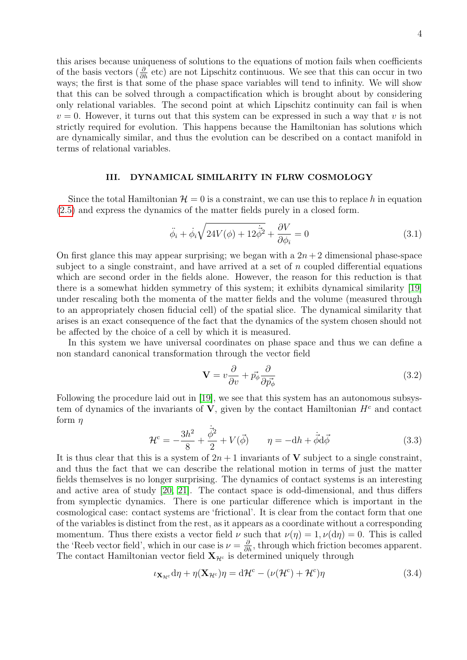this arises because uniqueness of solutions to the equations of motion fails when coefficients of the basis vectors ( $\frac{\partial}{\partial h}$  etc) are not Lipschitz continuous. We see that this can occur in two ways; the first is that some of the phase space variables will tend to infinity. We will show that this can be solved through a compactification which is brought about by considering only relational variables. The second point at which Lipschitz continuity can fail is when  $v = 0$ . However, it turns out that this system can be expressed in such a way that v is not strictly required for evolution. This happens because the Hamiltonian has solutions which are dynamically similar, and thus the evolution can be described on a contact manifold in terms of relational variables.

# <span id="page-3-0"></span>III. DYNAMICAL SIMILARITY IN FLRW COSMOLOGY

Since the total Hamiltonian  $\mathcal{H} = 0$  is a constraint, we can use this to replace h in equation [\(2.5\)](#page-2-0) and express the dynamics of the matter fields purely in a closed form.

$$
\ddot{\phi}_i + \dot{\phi}_i \sqrt{24V(\phi) + 12\dot{\phi}^2} + \frac{\partial V}{\partial \phi_i} = 0
$$
\n(3.1)

On first glance this may appear surprising; we began with a  $2n + 2$  dimensional phase-space subject to a single constraint, and have arrived at a set of  $n$  coupled differential equations which are second order in the fields alone. However, the reason for this reduction is that there is a somewhat hidden symmetry of this system; it exhibits dynamical similarity [\[19\]](#page-17-6) under rescaling both the momenta of the matter fields and the volume (measured through to an appropriately chosen fiducial cell) of the spatial slice. The dynamical similarity that arises is an exact consequence of the fact that the dynamics of the system chosen should not be affected by the choice of a cell by which it is measured.

In this system we have universal coordinates on phase space and thus we can define a non standard canonical transformation through the vector field

$$
\mathbf{V} = v \frac{\partial}{\partial v} + \vec{p_{\phi}} \frac{\partial}{\partial \vec{p_{\phi}}}
$$
(3.2)

Following the procedure laid out in [\[19\]](#page-17-6), we see that this system has an autonomous subsystem of dynamics of the invariants of  $V$ , given by the contact Hamiltonian  $H<sup>c</sup>$  and contact form  $\eta$ 

$$
\mathcal{H}^{\rm c} = -\frac{3h^2}{8} + \frac{\dot{\vec{\phi}}^2}{2} + V(\vec{\phi}) \qquad \eta = -\mathrm{d}h + \dot{\vec{\phi}}\mathrm{d}\vec{\phi} \tag{3.3}
$$

It is thus clear that this is a system of  $2n + 1$  invariants of V subject to a single constraint, and thus the fact that we can describe the relational motion in terms of just the matter fields themselves is no longer surprising. The dynamics of contact systems is an interesting and active area of study [\[20,](#page-17-7) [21\]](#page-17-8). The contact space is odd-dimensional, and thus differs from symplectic dynamics. There is one particular difference which is important in the cosmological case: contact systems are 'frictional'. It is clear from the contact form that one of the variables is distinct from the rest, as it appears as a coordinate without a corresponding momentum. Thus there exists a vector field  $\nu$  such that  $\nu(\eta) = 1, \nu(\text{d}\eta) = 0$ . This is called the 'Reeb vector field', which in our case is  $\nu = \frac{\partial}{\partial h}$ , through which friction becomes apparent. The contact Hamiltonian vector field  $X_{\mathcal{H}^c}$  is determined uniquely through

$$
\iota_{\mathbf{X}_{\mathcal{H}^c}} d\eta + \eta(\mathbf{X}_{\mathcal{H}^c})\eta = d\mathcal{H}^c - (\nu(\mathcal{H}^c) + \mathcal{H}^c)\eta
$$
\n(3.4)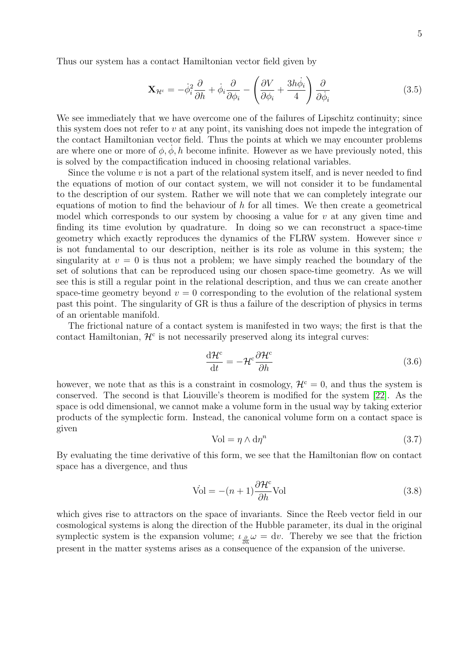Thus our system has a contact Hamiltonian vector field given by

$$
\mathbf{X}_{\mathcal{H}^c} = -\dot{\phi}_i^2 \frac{\partial}{\partial h} + \dot{\phi}_i \frac{\partial}{\partial \phi_i} - \left(\frac{\partial V}{\partial \phi_i} + \frac{3h\dot{\phi}_i}{4}\right) \frac{\partial}{\partial \dot{\phi}_i}
$$
(3.5)

We see immediately that we have overcome one of the failures of Lipschitz continuity; since this system does not refer to  $v$  at any point, its vanishing does not impede the integration of the contact Hamiltonian vector field. Thus the points at which we may encounter problems are where one or more of  $\phi$ ,  $\phi$ , h become infinite. However as we have previously noted, this is solved by the compactification induced in choosing relational variables.

Since the volume  $v$  is not a part of the relational system itself, and is never needed to find the equations of motion of our contact system, we will not consider it to be fundamental to the description of our system. Rather we will note that we can completely integrate our equations of motion to find the behaviour of  $h$  for all times. We then create a geometrical model which corresponds to our system by choosing a value for  $v$  at any given time and finding its time evolution by quadrature. In doing so we can reconstruct a space-time geometry which exactly reproduces the dynamics of the FLRW system. However since  $v$ is not fundamental to our description, neither is its role as volume in this system; the singularity at  $v = 0$  is thus not a problem; we have simply reached the boundary of the set of solutions that can be reproduced using our chosen space-time geometry. As we will see this is still a regular point in the relational description, and thus we can create another space-time geometry beyond  $v = 0$  corresponding to the evolution of the relational system past this point. The singularity of GR is thus a failure of the description of physics in terms of an orientable manifold.

The frictional nature of a contact system is manifested in two ways; the first is that the contact Hamiltonian,  $\mathcal{H}^c$  is not necessarily preserved along its integral curves:

$$
\frac{\mathrm{d}\mathcal{H}^{\mathrm{c}}}{\mathrm{d}t} = -\mathcal{H}^{\mathrm{c}}\frac{\partial\mathcal{H}^{\mathrm{c}}}{\partial h} \tag{3.6}
$$

however, we note that as this is a constraint in cosmology,  $\mathcal{H}^c = 0$ , and thus the system is conserved. The second is that Liouville's theorem is modified for the system [\[22\]](#page-17-9). As the space is odd dimensional, we cannot make a volume form in the usual way by taking exterior products of the symplectic form. Instead, the canonical volume form on a contact space is given

$$
Vol = \eta \wedge d\eta^n \tag{3.7}
$$

By evaluating the time derivative of this form, we see that the Hamiltonian flow on contact space has a divergence, and thus

$$
\text{Vol} = -(n+1)\frac{\partial \mathcal{H}^c}{\partial h} \text{Vol} \tag{3.8}
$$

which gives rise to attractors on the space of invariants. Since the Reeb vector field in our cosmological systems is along the direction of the Hubble parameter, its dual in the original symplectic system is the expansion volume;  $\iota_{\partial \overline{h}} \omega = dv$ . Thereby we see that the friction present in the matter systems arises as a consequence of the expansion of the universe.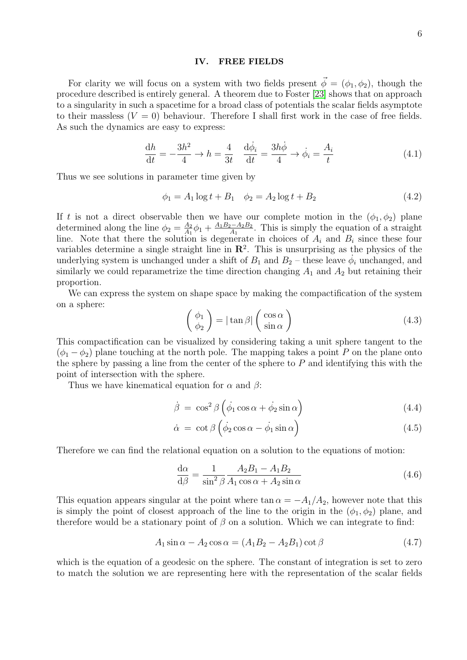#### <span id="page-5-0"></span>IV. FREE FIELDS

For clarity we will focus on a system with two fields present  $\vec{\phi} = (\phi_1, \phi_2)$ , though the procedure described is entirely general. A theorem due to Foster [\[23\]](#page-17-10) shows that on approach to a singularity in such a spacetime for a broad class of potentials the scalar fields asymptote to their massless  $(V = 0)$  behaviour. Therefore I shall first work in the case of free fields. As such the dynamics are easy to express:

$$
\frac{dh}{dt} = -\frac{3h^2}{4} \to h = \frac{4}{3t} \quad \frac{d\dot{\phi}_i}{dt} = \frac{3h\dot{\phi}}{4} \to \dot{\phi}_i = \frac{A_i}{t}
$$
(4.1)

Thus we see solutions in parameter time given by

$$
\phi_1 = A_1 \log t + B_1 \quad \phi_2 = A_2 \log t + B_2 \tag{4.2}
$$

If t is not a direct observable then we have our complete motion in the  $(\phi_1, \phi_2)$  plane determined along the line  $\phi_2 = \frac{A_2}{A_1}$  $\frac{A_2}{A_1}\phi_1 + \frac{A_1B_2 - A_2B_2}{A_1}$  $\frac{A_2-A_2B_2}{A_1}$ . This is simply the equation of a straight line. Note that there the solution is degenerate in choices of  $A_i$  and  $B_i$  since these four variables determine a single straight line in  $\mathbb{R}^2$ . This is unsurprising as the physics of the underlying system is unchanged under a shift of  $B_1$  and  $B_2$  – these leave  $\phi_i$  unchanged, and similarly we could reparametrize the time direction changing  $A_1$  and  $A_2$  but retaining their proportion.

We can express the system on shape space by making the compactification of the system on a sphere:

$$
\begin{pmatrix} \phi_1 \\ \phi_2 \end{pmatrix} = |\tan \beta| \begin{pmatrix} \cos \alpha \\ \sin \alpha \end{pmatrix}
$$
 (4.3)

This compactification can be visualized by considering taking a unit sphere tangent to the  $(\phi_1 - \phi_2)$  plane touching at the north pole. The mapping takes a point P on the plane onto the sphere by passing a line from the center of the sphere to  $P$  and identifying this with the point of intersection with the sphere.

Thus we have kinematical equation for  $\alpha$  and  $\beta$ :

$$
\dot{\beta} = \cos^2 \beta \left( \dot{\phi}_1 \cos \alpha + \dot{\phi}_2 \sin \alpha \right) \tag{4.4}
$$

$$
\dot{\alpha} = \cot \beta \left( \dot{\phi}_2 \cos \alpha - \dot{\phi}_1 \sin \alpha \right) \tag{4.5}
$$

Therefore we can find the relational equation on a solution to the equations of motion:

$$
\frac{\mathrm{d}\alpha}{\mathrm{d}\beta} = \frac{1}{\sin^2\beta} \frac{A_2 B_1 - A_1 B_2}{A_1 \cos\alpha + A_2 \sin\alpha} \tag{4.6}
$$

This equation appears singular at the point where tan  $\alpha = -A_1/A_2$ , however note that this is simply the point of closest approach of the line to the origin in the  $(\phi_1, \phi_2)$  plane, and therefore would be a stationary point of  $\beta$  on a solution. Which we can integrate to find:

$$
A_1 \sin \alpha - A_2 \cos \alpha = (A_1 B_2 - A_2 B_1) \cot \beta \tag{4.7}
$$

which is the equation of a geodesic on the sphere. The constant of integration is set to zero to match the solution we are representing here with the representation of the scalar fields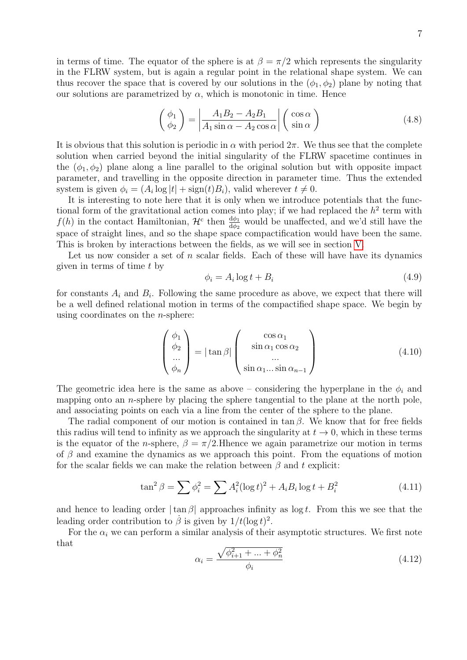in terms of time. The equator of the sphere is at  $\beta = \pi/2$  which represents the singularity in the FLRW system, but is again a regular point in the relational shape system. We can thus recover the space that is covered by our solutions in the  $(\phi_1, \phi_2)$  plane by noting that our solutions are parametrized by  $\alpha$ , which is monotonic in time. Hence

$$
\begin{pmatrix} \phi_1 \\ \phi_2 \end{pmatrix} = \left| \frac{A_1 B_2 - A_2 B_1}{A_1 \sin \alpha - A_2 \cos \alpha} \right| \begin{pmatrix} \cos \alpha \\ \sin \alpha \end{pmatrix}
$$
 (4.8)

It is obvious that this solution is periodic in  $\alpha$  with period  $2\pi$ . We thus see that the complete solution when carried beyond the initial singularity of the FLRW spacetime continues in the  $(\phi_1, \phi_2)$  plane along a line parallel to the original solution but with opposite impact parameter, and travelling in the opposite direction in parameter time. Thus the extended system is given  $\phi_i = (A_i \log |t| + \text{sign}(t)B_i)$ , valid wherever  $t \neq 0$ .

It is interesting to note here that it is only when we introduce potentials that the functional form of the gravitational action comes into play; if we had replaced the  $h^2$  term with  $f(h)$  in the contact Hamiltonian,  $\mathcal{H}^c$  then  $\frac{d\phi_1}{d\phi_2}$  would be unaffected, and we'd still have the space of straight lines, and so the shape space compactification would have been the same. This is broken by interactions between the fields, as we will see in section [V.](#page-7-0)

Let us now consider a set of  $n$  scalar fields. Each of these will have have its dynamics given in terms of time  $t$  by

<span id="page-6-0"></span>
$$
\phi_i = A_i \log t + B_i \tag{4.9}
$$

for constants  $A_i$  and  $B_i$ . Following the same procedure as above, we expect that there will be a well defined relational motion in terms of the compactified shape space. We begin by using coordinates on the  $n$ -sphere:

$$
\begin{pmatrix} \phi_1 \\ \phi_2 \\ \dots \\ \phi_n \end{pmatrix} = |\tan \beta| \begin{pmatrix} \cos \alpha_1 \\ \sin \alpha_1 \cos \alpha_2 \\ \dots \\ \sin \alpha_1 \dots \sin \alpha_{n-1} \end{pmatrix}
$$
(4.10)

The geometric idea here is the same as above – considering the hyperplane in the  $\phi_i$  and mapping onto an *n*-sphere by placing the sphere tangential to the plane at the north pole, and associating points on each via a line from the center of the sphere to the plane.

The radial component of our motion is contained in tan  $\beta$ . We know that for free fields this radius will tend to infinity as we approach the singularity at  $t \to 0$ , which in these terms is the equator of the *n*-sphere,  $\beta = \pi/2$ . Hhence we again parametrize our motion in terms of  $\beta$  and examine the dynamics as we approach this point. From the equations of motion for the scalar fields we can make the relation between  $\beta$  and t explicit:

$$
\tan^2 \beta = \sum \phi_i^2 = \sum A_i^2 (\log t)^2 + A_i B_i \log t + B_i^2 \tag{4.11}
$$

and hence to leading order  $|\tan \beta|$  approaches infinity as  $\log t$ . From this we see that the leading order contribution to  $\beta$  is given by  $1/t(\log t)^2$ .

For the  $\alpha_i$  we can perform a similar analysis of their asymptotic structures. We first note that

$$
\alpha_i = \frac{\sqrt{\phi_{i+1}^2 + \dots + \phi_n^2}}{\phi_i} \tag{4.12}
$$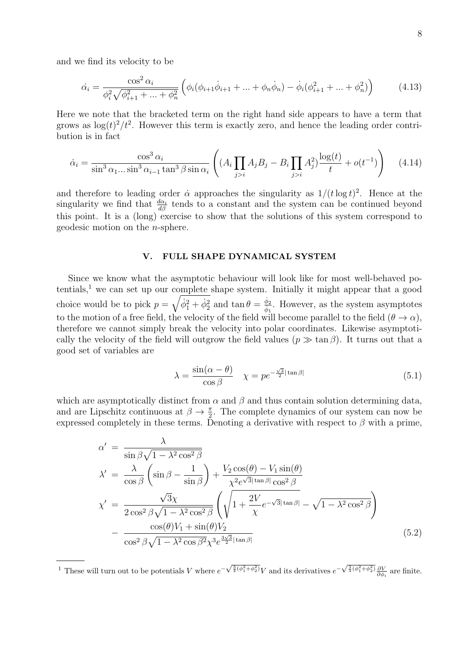and we find its velocity to be

$$
\dot{\alpha}_i = \frac{\cos^2 \alpha_i}{\phi_i^2 \sqrt{\phi_{i+1}^2 + \dots + \phi_n^2}} \left( \phi_i(\phi_{i+1}\dot{\phi}_{i+1} + \dots + \phi_n\dot{\phi}_n) - \dot{\phi}_i(\phi_{i+1}^2 + \dots + \phi_n^2) \right)
$$
(4.13)

Here we note that the bracketed term on the right hand side appears to have a term that grows as  $\log(t)^2/t^2$ . However this term is exactly zero, and hence the leading order contribution is in fact

$$
\dot{\alpha}_i = \frac{\cos^3 \alpha_i}{\sin^3 \alpha_1 \dots \sin^3 \alpha_{i-1} \tan^3 \beta \sin \alpha_i} \left( (A_i \prod_{j>i} A_j B_j - B_i \prod_{j>i} A_j^2) \frac{\log(t)}{t} + o(t^{-1}) \right) \tag{4.14}
$$

and therefore to leading order  $\dot{\alpha}$  approaches the singularity as  $1/(t \log t)^2$ . Hence at the singularity we find that  $\frac{d\alpha_i}{d\beta}$  tends to a constant and the system can be continued beyond this point. It is a (long) exercise to show that the solutions of this system correspond to geodesic motion on the n-sphere.

## <span id="page-7-0"></span>V. FULL SHAPE DYNAMICAL SYSTEM

Since we know what the asymptotic behaviour will look like for most well-behaved po $t$ entials,<sup>1</sup> we can set up our complete shape system. Initially it might appear that a good choice would be to pick  $p = \sqrt{\dot{\phi}_1^2 + \dot{\phi}_2^2}$  and  $\tan \theta = \frac{\dot{\phi}_2}{\dot{\phi}_1}$ . However, as the system asymptotes to the motion of a free field, the velocity of the field will become parallel to the field  $(\theta \to \alpha)$ , therefore we cannot simply break the velocity into polar coordinates. Likewise asymptotically the velocity of the field will outgrow the field values  $(p \gg \tan \beta)$ . It turns out that a good set of variables are

$$
\lambda = \frac{\sin(\alpha - \theta)}{\cos \beta} \quad \chi = pe^{-\frac{\sqrt{3}}{2}|\tan \beta|} \tag{5.1}
$$

which are asymptotically distinct from  $\alpha$  and  $\beta$  and thus contain solution determining data, and are Lipschitz continuous at  $\beta \to \frac{\pi}{2}$ . The complete dynamics of our system can now be expressed completely in these terms. Denoting a derivative with respect to  $\beta$  with a prime,

<span id="page-7-1"></span>
$$
\alpha' = \frac{\lambda}{\sin \beta \sqrt{1 - \lambda^2 \cos^2 \beta}}
$$
  
\n
$$
\lambda' = \frac{\lambda}{\cos \beta} \left( \sin \beta - \frac{1}{\sin \beta} \right) + \frac{V_2 \cos(\theta) - V_1 \sin(\theta)}{\chi^2 e^{\sqrt{3} |\tan \beta|} \cos^2 \beta}
$$
  
\n
$$
\chi' = \frac{\sqrt{3} \chi}{2 \cos^2 \beta \sqrt{1 - \lambda^2 \cos^2 \beta}} \left( \sqrt{1 + \frac{2V}{\chi} e^{-\sqrt{3} |\tan \beta|}} - \sqrt{1 - \lambda^2 \cos^2 \beta} \right)
$$
  
\n
$$
- \frac{\cos(\theta) V_1 + \sin(\theta) V_2}{\cos^2 \beta \sqrt{1 - \lambda^2 \cos \beta^2} \chi^3 e^{\frac{3\sqrt{3}}{2} |\tan \beta|}} \tag{5.2}
$$

<sup>1</sup> These will turn out to be potentials V where  $e^{-\sqrt{\frac{3}{4}(\phi_1^2+\phi_2^2)}}V$  and its derivatives  $e^{-\sqrt{\frac{3}{4}(\phi_1^2+\phi_2^2)}}\frac{\partial V}{\partial \phi_i}$  are finite.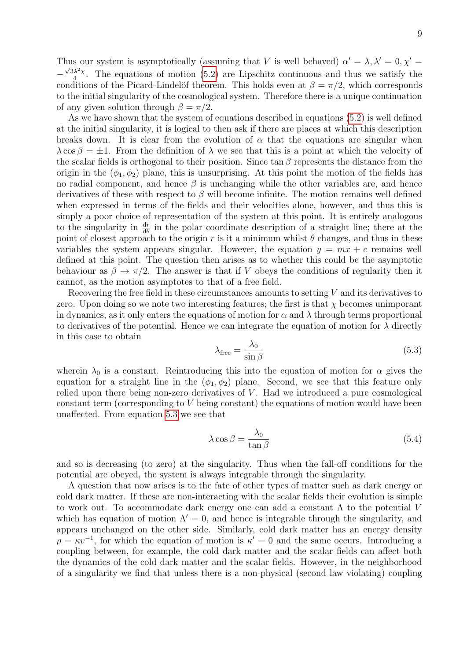Thus our system is asymptotically (assuming that V is well behaved)  $\alpha' = \lambda, \lambda' = 0, \chi' = \sqrt{\lambda}$  $-\frac{\sqrt{3}\lambda^2\chi}{4}$  $\frac{\lambda^2 \chi}{4}$ . The equations of motion [\(5.2\)](#page-7-1) are Lipschitz continuous and thus we satisfy the conditions of the Picard-Lindelöf theorem. This holds even at  $\beta = \pi/2$ , which corresponds to the initial singularity of the cosmological system. Therefore there is a unique continuation of any given solution through  $\beta = \pi/2$ .

As we have shown that the system of equations described in equations [\(5.2\)](#page-7-1) is well defined at the initial singularity, it is logical to then ask if there are places at which this description breaks down. It is clear from the evolution of  $\alpha$  that the equations are singular when  $\lambda \cos \beta = \pm 1$ . From the definition of  $\lambda$  we see that this is a point at which the velocity of the scalar fields is orthogonal to their position. Since tan  $\beta$  represents the distance from the origin in the  $(\phi_1, \phi_2)$  plane, this is unsurprising. At this point the motion of the fields has no radial component, and hence  $\beta$  is unchanging while the other variables are, and hence derivatives of these with respect to  $\beta$  will become infinite. The motion remains well defined when expressed in terms of the fields and their velocities alone, however, and thus this is simply a poor choice of representation of the system at this point. It is entirely analogous to the singularity in  $\frac{dr}{d\theta}$  in the polar coordinate description of a straight line; there at the point of closest approach to the origin r is it a minimum whilst  $\theta$  changes, and thus in these variables the system appears singular. However, the equation  $y = mx + c$  remains well defined at this point. The question then arises as to whether this could be the asymptotic behaviour as  $\beta \to \pi/2$ . The answer is that if V obeys the conditions of regularity then it cannot, as the motion asymptotes to that of a free field.

Recovering the free field in these circumstances amounts to setting V and its derivatives to zero. Upon doing so we note two interesting features; the first is that  $\chi$  becomes unimporant in dynamics, as it only enters the equations of motion for  $\alpha$  and  $\lambda$  through terms proportional to derivatives of the potential. Hence we can integrate the equation of motion for  $\lambda$  directly in this case to obtain

<span id="page-8-0"></span>
$$
\lambda_{\text{free}} = \frac{\lambda_0}{\sin \beta} \tag{5.3}
$$

wherein  $\lambda_0$  is a constant. Reintroducing this into the equation of motion for  $\alpha$  gives the equation for a straight line in the  $(\phi_1, \phi_2)$  plane. Second, we see that this feature only relied upon there being non-zero derivatives of V . Had we introduced a pure cosmological constant term (corresponding to V being constant) the equations of motion would have been unaffected. From equation [5.3](#page-8-0) we see that

$$
\lambda \cos \beta = \frac{\lambda_0}{\tan \beta} \tag{5.4}
$$

and so is decreasing (to zero) at the singularity. Thus when the fall-off conditions for the potential are obeyed, the system is always integrable through the singularity.

A question that now arises is to the fate of other types of matter such as dark energy or cold dark matter. If these are non-interacting with the scalar fields their evolution is simple to work out. To accommodate dark energy one can add a constant  $\Lambda$  to the potential V which has equation of motion  $\Lambda' = 0$ , and hence is integrable through the singularity, and appears unchanged on the other side. Similarly, cold dark matter has an energy density  $\rho = \kappa v^{-1}$ , for which the equation of motion is  $\kappa' = 0$  and the same occurs. Introducing a coupling between, for example, the cold dark matter and the scalar fields can affect both the dynamics of the cold dark matter and the scalar fields. However, in the neighborhood of a singularity we find that unless there is a non-physical (second law violating) coupling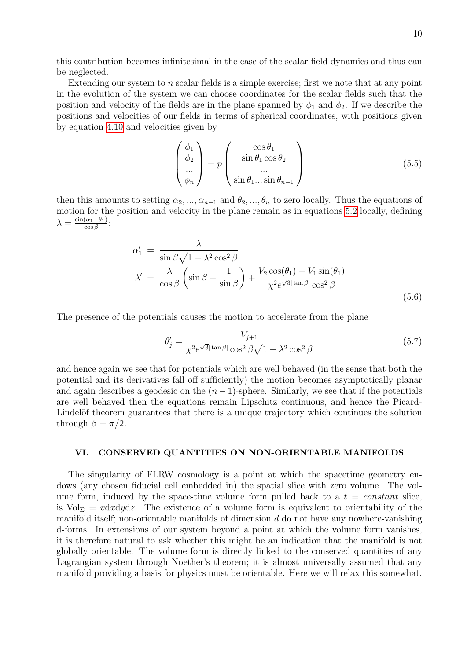this contribution becomes infinitesimal in the case of the scalar field dynamics and thus can be neglected.

Extending our system to  $n$  scalar fields is a simple exercise; first we note that at any point in the evolution of the system we can choose coordinates for the scalar fields such that the position and velocity of the fields are in the plane spanned by  $\phi_1$  and  $\phi_2$ . If we describe the positions and velocities of our fields in terms of spherical coordinates, with positions given by equation [4.10](#page-6-0) and velocities given by

$$
\begin{pmatrix} \phi_1 \\ \phi_2 \\ \dots \\ \phi_n \end{pmatrix} = p \begin{pmatrix} \cos \theta_1 \\ \sin \theta_1 \cos \theta_2 \\ \dots \\ \sin \theta_1 \dots \sin \theta_{n-1} \end{pmatrix}
$$
 (5.5)

then this amounts to setting  $\alpha_2, ..., \alpha_{n-1}$  and  $\theta_2, ..., \theta_n$  to zero locally. Thus the equations of motion for the position and velocity in the plane remain as in equations [5.2](#page-7-1) locally, defining  $\lambda = \frac{\sin(\alpha_1 - \theta_1)}{\cos \beta}$  $\frac{(\alpha_1-\theta_1)}{\cos\beta};$ 

$$
\alpha'_{1} = \frac{\lambda}{\sin \beta \sqrt{1 - \lambda^2 \cos^2 \beta}}
$$
  
\n
$$
\lambda' = \frac{\lambda}{\cos \beta} \left( \sin \beta - \frac{1}{\sin \beta} \right) + \frac{V_2 \cos(\theta_1) - V_1 \sin(\theta_1)}{\chi^2 e^{\sqrt{3} |\tan \beta|} \cos^2 \beta}
$$
\n(5.6)

The presence of the potentials causes the motion to accelerate from the plane

$$
\theta_j' = \frac{V_{j+1}}{\chi^2 e^{\sqrt{3}|\tan\beta|} \cos^2\beta \sqrt{1 - \lambda^2 \cos^2\beta}}
$$
(5.7)

and hence again we see that for potentials which are well behaved (in the sense that both the potential and its derivatives fall off sufficiently) the motion becomes asymptotically planar and again describes a geodesic on the  $(n-1)$ -sphere. Similarly, we see that if the potentials are well behaved then the equations remain Lipschitz continuous, and hence the Picard-Lindelöf theorem guarantees that there is a unique trajectory which continues the solution through  $\beta = \pi/2$ .

# <span id="page-9-0"></span>VI. CONSERVED QUANTITIES ON NON-ORIENTABLE MANIFOLDS

The singularity of FLRW cosmology is a point at which the spacetime geometry endows (any chosen fiducial cell embedded in) the spatial slice with zero volume. The volume form, induced by the space-time volume form pulled back to a  $t = constant$  slice, is Vol<sub> $\Sigma$ </sub> = vdxdydz. The existence of a volume form is equivalent to orientability of the manifold itself; non-orientable manifolds of dimension  $d$  do not have any nowhere-vanishing d-forms. In extensions of our system beyond a point at which the volume form vanishes, it is therefore natural to ask whether this might be an indication that the manifold is not globally orientable. The volume form is directly linked to the conserved quantities of any Lagrangian system through Noether's theorem; it is almost universally assumed that any manifold providing a basis for physics must be orientable. Here we will relax this somewhat.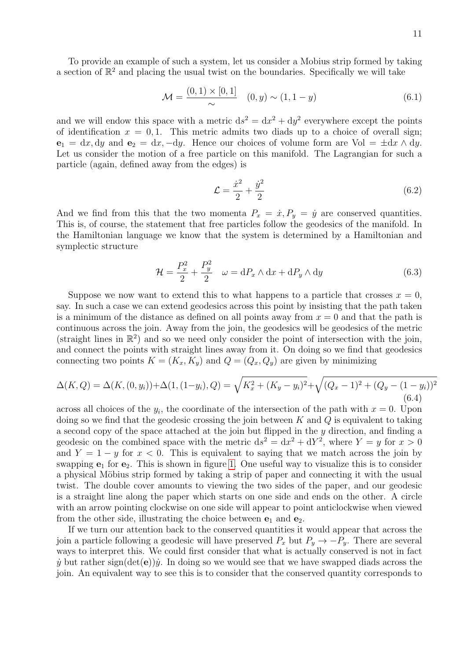To provide an example of such a system, let us consider a Mobius strip formed by taking a section of  $\mathbb{R}^2$  and placing the usual twist on the boundaries. Specifically we will take

$$
\mathcal{M} = \frac{(0,1) \times [0,1]}{\sim} \quad (0,y) \sim (1,1-y) \tag{6.1}
$$

and we will endow this space with a metric  $ds^2 = dx^2 + dy^2$  everywhere except the points of identification  $x = 0, 1$ . This metric admits two diads up to a choice of overall sign;  $e_1 = dx, dy$  and  $e_2 = dx, -dy$ . Hence our choices of volume form are Vol =  $\pm dx \wedge dy$ . Let us consider the motion of a free particle on this manifold. The Lagrangian for such a particle (again, defined away from the edges) is

$$
\mathcal{L} = \frac{\dot{x}^2}{2} + \frac{\dot{y}^2}{2} \tag{6.2}
$$

And we find from this that the two momenta  $P_x = \dot{x}, P_y = \dot{y}$  are conserved quantities. This is, of course, the statement that free particles follow the geodesics of the manifold. In the Hamiltonian language we know that the system is determined by a Hamiltonian and symplectic structure

$$
\mathcal{H} = \frac{P_x^2}{2} + \frac{P_y^2}{2} \quad \omega = \mathrm{d}P_x \wedge \mathrm{d}x + \mathrm{d}P_y \wedge \mathrm{d}y \tag{6.3}
$$

Suppose we now want to extend this to what happens to a particle that crosses  $x = 0$ , say. In such a case we can extend geodesics across this point by insisting that the path taken is a minimum of the distance as defined on all points away from  $x = 0$  and that the path is continuous across the join. Away from the join, the geodesics will be geodesics of the metric (straight lines in  $\mathbb{R}^2$ ) and so we need only consider the point of intersection with the join, and connect the points with straight lines away from it. On doing so we find that geodesics connecting two points  $K = (K_x, K_y)$  and  $Q = (Q_x, Q_y)$  are given by minimizing

$$
\Delta(K, Q) = \Delta(K, (0, y_i)) + \Delta(1, (1 - y_i), Q) = \sqrt{K_x^2 + (K_y - y_i)^2} + \sqrt{(Q_x - 1)^2 + (Q_y - (1 - y_i))^2}
$$
\n(6.4)

across all choices of the  $y_i$ , the coordinate of the intersection of the path with  $x = 0$ . Upon doing so we find that the geodesic crossing the join between  $K$  and  $Q$  is equivalent to taking a second copy of the space attached at the join but flipped in the y direction, and finding a geodesic on the combined space with the metric  $ds^2 = dx^2 + dY^2$ , where  $Y = y$  for  $x > 0$ and  $Y = 1 - y$  for  $x < 0$ . This is equivalent to saying that we match across the join by swapping  $e_1$  for  $e_2$ . This is shown in figure [1.](#page-11-0) One useful way to visualize this is to consider a physical Möbius strip formed by taking a strip of paper and connecting it with the usual twist. The double cover amounts to viewing the two sides of the paper, and our geodesic is a straight line along the paper which starts on one side and ends on the other. A circle with an arrow pointing clockwise on one side will appear to point anticlockwise when viewed from the other side, illustrating the choice between  $e_1$  and  $e_2$ .

If we turn our attention back to the conserved quantities it would appear that across the join a particle following a geodesic will have preserved  $P_x$  but  $P_y \to -P_y$ . There are several ways to interpret this. We could first consider that what is actually conserved is not in fact  $\dot{y}$  but rather sign(det(e)) $\dot{y}$ . In doing so we would see that we have swapped diads across the join. An equivalent way to see this is to consider that the conserved quantity corresponds to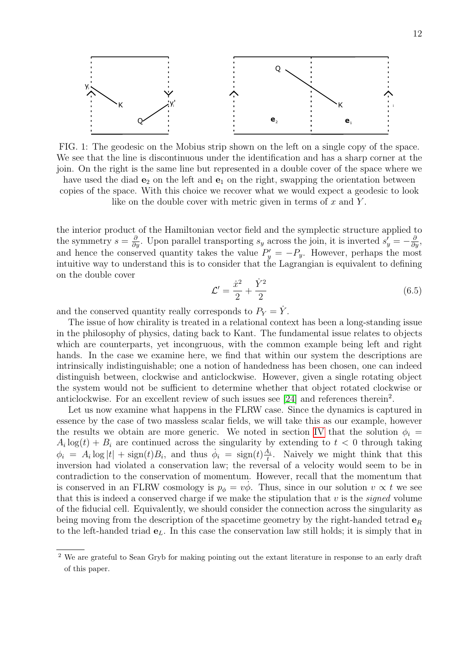

<span id="page-11-0"></span>FIG. 1: The geodesic on the Mobius strip shown on the left on a single copy of the space. We see that the line is discontinuous under the identification and has a sharp corner at the join. On the right is the same line but represented in a double cover of the space where we have used the diad  $e_2$  on the left and  $e_1$  on the right, swapping the orientation between copies of the space. With this choice we recover what we would expect a geodesic to look like on the double cover with metric given in terms of  $x$  and  $Y$ .

the interior product of the Hamiltonian vector field and the symplectic structure applied to the symmetry  $s = \frac{\partial}{\partial y}$ . Upon parallel transporting  $s_y$  across the join, it is inverted  $s'_y = -\frac{\partial}{\partial y}$ , and hence the conserved quantity takes the value  $P'_y = -P_y$ . However, perhaps the most intuitive way to understand this is to consider that the Lagrangian is equivalent to defining on the double cover

$$
\mathcal{L}' = \frac{\dot{x}^2}{2} + \frac{\dot{Y}^2}{2} \tag{6.5}
$$

and the conserved quantity really corresponds to  $P_Y = \dot{Y}$ .

The issue of how chirality is treated in a relational context has been a long-standing issue in the philosophy of physics, dating back to Kant. The fundamental issue relates to objects which are counterparts, yet incongruous, with the common example being left and right hands. In the case we examine here, we find that within our system the descriptions are intrinsically indistinguishable; one a notion of handedness has been chosen, one can indeed distinguish between, clockwise and anticlockwise. However, given a single rotating object the system would not be sufficient to determine whether that object rotated clockwise or anticlockwise. For an excellent review of such issues see  $[24]$  and references therein<sup>2</sup>.

Let us now examine what happens in the FLRW case. Since the dynamics is captured in essence by the case of two massless scalar fields, we will take this as our example, however the results we obtain are more generic. We noted in section [IV](#page-5-0) that the solution  $\phi_i =$  $A_i \log(t) + B_i$  are continued across the singularity by extending to  $t < 0$  through taking  $\phi_i = A_i \log|t| + \text{sign}(t)B_i$ , and thus  $\dot{\phi}_i = \text{sign}(t)\frac{A_i}{t}$  $\frac{A_i}{t}$ . Naively we might think that this inversion had violated a conservation law; the reversal of a velocity would seem to be in contradiction to the conservation of momentum. However, recall that the momentum that is conserved in an FLRW cosmology is  $p_{\phi} = v\dot{\phi}$ . Thus, since in our solution  $v \propto t$  we see that this is indeed a conserved charge if we make the stipulation that  $v$  is the *signed* volume of the fiducial cell. Equivalently, we should consider the connection across the singularity as being moving from the description of the spacetime geometry by the right-handed tetrad  $\mathbf{e}_R$ to the left-handed triad  $e_L$ . In this case the conservation law still holds; it is simply that in

<sup>&</sup>lt;sup>2</sup> We are grateful to Sean Gryb for making pointing out the extant literature in response to an early draft of this paper.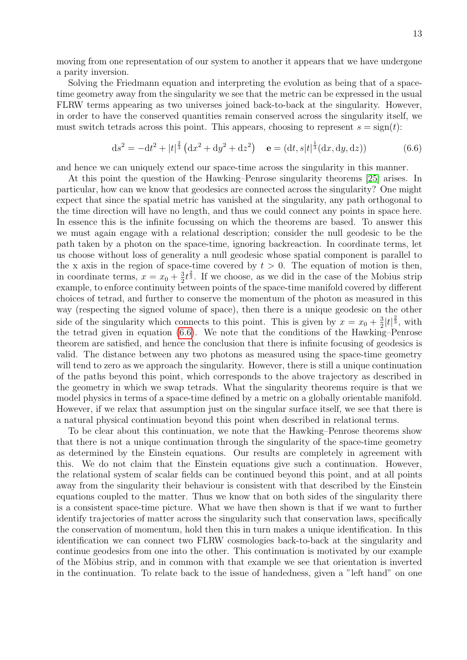moving from one representation of our system to another it appears that we have undergone a parity inversion.

Solving the Friedmann equation and interpreting the evolution as being that of a spacetime geometry away from the singularity we see that the metric can be expressed in the usual FLRW terms appearing as two universes joined back-to-back at the singularity. However, in order to have the conserved quantities remain conserved across the singularity itself, we must switch tetrads across this point. This appears, choosing to represent  $s = sign(t)$ :

<span id="page-12-0"></span>
$$
ds^{2} = -dt^{2} + |t|^{\frac{2}{3}} \left( dx^{2} + dy^{2} + dz^{2} \right) \quad \mathbf{e} = (dt, s|t|^{\frac{1}{3}} (dx, dy, dz)) \tag{6.6}
$$

and hence we can uniquely extend our space-time across the singularity in this manner.

At this point the question of the Hawking–Penrose singularity theorems [\[25\]](#page-17-12) arises. In particular, how can we know that geodesics are connected across the singularity? One might expect that since the spatial metric has vanished at the singularity, any path orthogonal to the time direction will have no length, and thus we could connect any points in space here. In essence this is the infinite focussing on which the theorems are based. To answer this we must again engage with a relational description; consider the null geodesic to be the path taken by a photon on the space-time, ignoring backreaction. In coordinate terms, let us choose without loss of generality a null geodesic whose spatial component is parallel to the x axis in the region of space-time covered by  $t > 0$ . The equation of motion is then, in coordinate terms,  $x = x_0 + \frac{3}{2}$  $\frac{3}{2}t^{\frac{2}{3}}$ . If we choose, as we did in the case of the Mobius strip example, to enforce continuity between points of the space-time manifold covered by different choices of tetrad, and further to conserve the momentum of the photon as measured in this way (respecting the signed volume of space), then there is a unique geodesic on the other side of the singularity which connects to this point. This is given by  $x = x_0 + \frac{3}{2}$  $\frac{3}{2}|t|^{\frac{2}{3}}, \text{ with}$ the tetrad given in equation [\(6.6\)](#page-12-0). We note that the conditions of the Hawking–Penrose theorem are satisfied, and hence the conclusion that there is infinite focusing of geodesics is valid. The distance between any two photons as measured using the space-time geometry will tend to zero as we approach the singularity. However, there is still a unique continuation of the paths beyond this point, which corresponds to the above trajectory as described in the geometry in which we swap tetrads. What the singularity theorems require is that we model physics in terms of a space-time defined by a metric on a globally orientable manifold. However, if we relax that assumption just on the singular surface itself, we see that there is a natural physical continuation beyond this point when described in relational terms.

To be clear about this continuation, we note that the Hawking–Penrose theorems show that there is not a unique continuation through the singularity of the space-time geometry as determined by the Einstein equations. Our results are completely in agreement with this. We do not claim that the Einstein equations give such a continuation. However, the relational system of scalar fields can be continued beyond this point, and at all points away from the singularity their behaviour is consistent with that described by the Einstein equations coupled to the matter. Thus we know that on both sides of the singularity there is a consistent space-time picture. What we have then shown is that if we want to further identify trajectories of matter across the singularity such that conservation laws, specifically the conservation of momentum, hold then this in turn makes a unique identification. In this identification we can connect two FLRW cosmologies back-to-back at the singularity and continue geodesics from one into the other. This continuation is motivated by our example of the Möbius strip, and in common with that example we see that orientation is inverted in the continuation. To relate back to the issue of handedness, given a "left hand" on one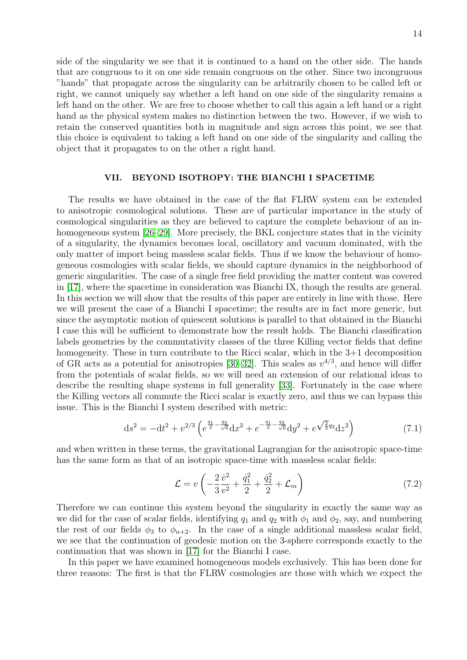side of the singularity we see that it is continued to a hand on the other side. The hands that are congruous to it on one side remain congruous on the other. Since two incongruous "hands" that propagate across the singularity can be arbitrarily chosen to be called left or right, we cannot uniquely say whether a left hand on one side of the singularity remains a left hand on the other. We are free to choose whether to call this again a left hand or a right hand as the physical system makes no distinction between the two. However, if we wish to retain the conserved quantities both in magnitude and sign across this point, we see that this choice is equivalent to taking a left hand on one side of the singularity and calling the object that it propagates to on the other a right hand.

## <span id="page-13-0"></span>VII. BEYOND ISOTROPY: THE BIANCHI I SPACETIME

The results we have obtained in the case of the flat FLRW system can be extended to anisotropic cosmological solutions. These are of particular importance in the study of cosmological singularities as they are believed to capture the complete behaviour of an in-homogeneous system [\[26–](#page-17-13)[29\]](#page-17-14). More precisely, the BKL conjecture states that in the vicinity of a singularity, the dynamics becomes local, oscillatory and vacuum dominated, with the only matter of import being massless scalar fields. Thus if we know the behaviour of homogeneous cosmologies with scalar fields, we should capture dynamics in the neighborhood of generic singularities. The case of a single free field providing the matter content was covered in [\[17\]](#page-17-4), where the spacetime in consideration was Bianchi IX, though the results are general. In this section we will show that the results of this paper are entirely in line with those. Here we will present the case of a Bianchi I spacetime; the results are in fact more generic, but since the asymptotic motion of quiescent solutions is parallel to that obtained in the Bianchi I case this will be sufficient to demonstrate how the result holds. The Bianchi classification labels geometries by the commutativity classes of the three Killing vector fields that define homogeneity. These in turn contribute to the Ricci scalar, which in the 3+1 decomposition of GR acts as a potential for anisotropies [\[30](#page-17-15)[–32\]](#page-17-16). This scales as  $v^{4/3}$ , and hence will differ from the potentials of scalar fields, so we will need an extension of our relational ideas to describe the resulting shape systems in full generality [\[33\]](#page-17-17). Fortunately in the case where the Killing vectors all commute the Ricci scalar is exactly zero, and thus we can bypass this issue. This is the Bianchi I system described with metric:

$$
ds^{2} = -dt^{2} + v^{2/3} \left( e^{\frac{q_{1}}{2} - \frac{q_{2}}{\sqrt{6}}} dx^{2} + e^{-\frac{q_{1}}{2} - \frac{q_{2}}{\sqrt{6}}} dy^{2} + e^{\sqrt{\frac{2}{3}}q_{2}} dz^{2} \right)
$$
(7.1)

and when written in these terms, the gravitational Lagrangian for the anisotropic space-time has the same form as that of an isotropic space-time with massless scalar fields:

$$
\mathcal{L} = v \left( -\frac{2}{3} \frac{\dot{v}^2}{v^2} + \frac{\dot{q}_1^2}{2} + \frac{\dot{q}_2^2}{2} + \mathcal{L}_m \right) \tag{7.2}
$$

Therefore we can continue this system beyond the singularity in exactly the same way as we did for the case of scalar fields, identifying  $q_1$  and  $q_2$  with  $\phi_1$  and  $\phi_2$ , say, and numbering the rest of our fields  $\phi_3$  to  $\phi_{n+2}$ . In the case of a single additional massless scalar field, we see that the continuation of geodesic motion on the 3-sphere corresponds exactly to the continuation that was shown in [\[17\]](#page-17-4) for the Bianchi I case.

In this paper we have examined homogeneous models exclusively. This has been done for three reasons: The first is that the FLRW cosmologies are those with which we expect the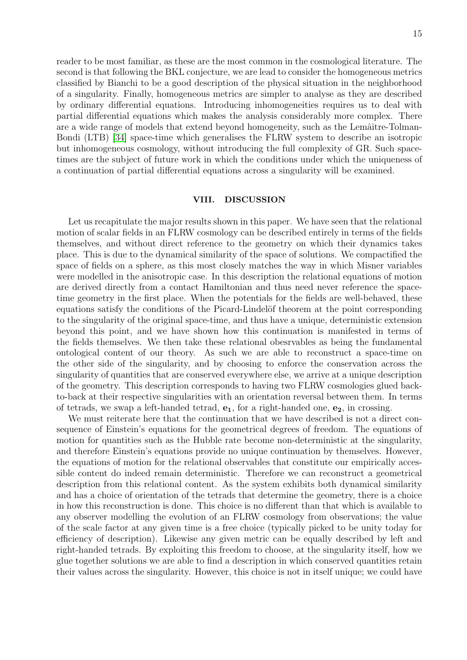reader to be most familiar, as these are the most common in the cosmological literature. The second is that following the BKL conjecture, we are lead to consider the homogeneous metrics classified by Bianchi to be a good description of the physical situation in the neighborhood of a singularity. Finally, homogeneous metrics are simpler to analyse as they are described by ordinary differential equations. Introducing inhomogeneities requires us to deal with partial differential equations which makes the analysis considerably more complex. There are a wide range of models that extend beyond homogeneity, such as the Lemâtre-Tolman-Bondi (LTB) [\[34\]](#page-17-18) space-time which generalises the FLRW system to describe an isotropic but inhomogeneous cosmology, without introducing the full complexity of GR. Such spacetimes are the subject of future work in which the conditions under which the uniqueness of a continuation of partial differential equations across a singularity will be examined.

### <span id="page-14-0"></span>VIII. DISCUSSION

Let us recapitulate the major results shown in this paper. We have seen that the relational motion of scalar fields in an FLRW cosmology can be described entirely in terms of the fields themselves, and without direct reference to the geometry on which their dynamics takes place. This is due to the dynamical similarity of the space of solutions. We compactified the space of fields on a sphere, as this most closely matches the way in which Misner variables were modelled in the anisotropic case. In this description the relational equations of motion are derived directly from a contact Hamiltonian and thus need never reference the spacetime geometry in the first place. When the potentials for the fields are well-behaved, these equations satisfy the conditions of the Picard-Lindelöf theorem at the point corresponding to the singularity of the original space-time, and thus have a unique, deterministic extension beyond this point, and we have shown how this continuation is manifested in terms of the fields themselves. We then take these relational obesrvables as being the fundamental ontological content of our theory. As such we are able to reconstruct a space-time on the other side of the singularity, and by choosing to enforce the conservation across the singularity of quantities that are conserved everywhere else, we arrive at a unique description of the geometry. This description corresponds to having two FLRW cosmologies glued backto-back at their respective singularities with an orientation reversal between them. In terms of tetrads, we swap a left-handed tetrad,  $e_1$ , for a right-handed one,  $e_2$ , in crossing.

We must reiterate here that the continuation that we have described is not a direct consequence of Einstein's equations for the geometrical degrees of freedom. The equations of motion for quantities such as the Hubble rate become non-deterministic at the singularity, and therefore Einstein's equations provide no unique continuation by themselves. However, the equations of motion for the relational observables that constitute our empirically accessible content do indeed remain deterministic. Therefore we can reconstruct a geometrical description from this relational content. As the system exhibits both dynamical similarity and has a choice of orientation of the tetrads that determine the geometry, there is a choice in how this reconstruction is done. This choice is no different than that which is available to any observer modelling the evolution of an FLRW cosmology from observations; the value of the scale factor at any given time is a free choice (typically picked to be unity today for efficiency of description). Likewise any given metric can be equally described by left and right-handed tetrads. By exploiting this freedom to choose, at the singularity itself, how we glue together solutions we are able to find a description in which conserved quantities retain their values across the singularity. However, this choice is not in itself unique; we could have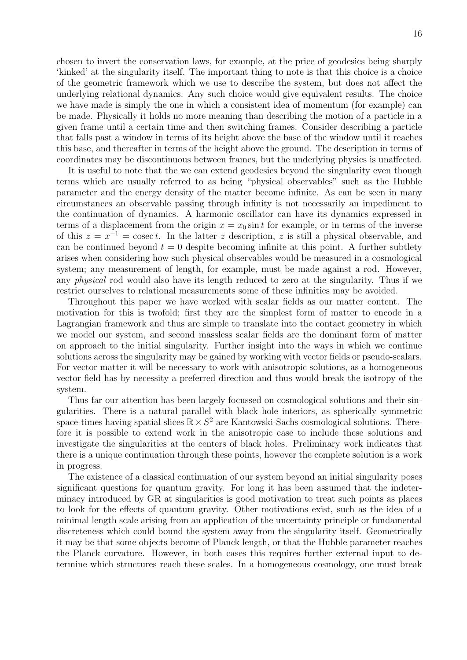chosen to invert the conservation laws, for example, at the price of geodesics being sharply 'kinked' at the singularity itself. The important thing to note is that this choice is a choice of the geometric framework which we use to describe the system, but does not affect the underlying relational dynamics. Any such choice would give equivalent results. The choice we have made is simply the one in which a consistent idea of momentum (for example) can be made. Physically it holds no more meaning than describing the motion of a particle in a given frame until a certain time and then switching frames. Consider describing a particle that falls past a window in terms of its height above the base of the window until it reaches this base, and thereafter in terms of the height above the ground. The description in terms of coordinates may be discontinuous between frames, but the underlying physics is unaffected.

It is useful to note that the we can extend geodesics beyond the singularity even though terms which are usually referred to as being "physical observables" such as the Hubble parameter and the energy density of the matter become infinite. As can be seen in many circumstances an observable passing through infinity is not necessarily an impediment to the continuation of dynamics. A harmonic oscillator can have its dynamics expressed in terms of a displacement from the origin  $x = x_0 \sin t$  for example, or in terms of the inverse of this  $z = x^{-1} = \text{cosec } t$ . In the latter z description, z is still a physical observable, and can be continued beyond  $t = 0$  despite becoming infinite at this point. A further subtlety arises when considering how such physical observables would be measured in a cosmological system; any measurement of length, for example, must be made against a rod. However, any physical rod would also have its length reduced to zero at the singularity. Thus if we restrict ourselves to relational measurements some of these infinities may be avoided.

Throughout this paper we have worked with scalar fields as our matter content. The motivation for this is twofold; first they are the simplest form of matter to encode in a Lagrangian framework and thus are simple to translate into the contact geometry in which we model our system, and second massless scalar fields are the dominant form of matter on approach to the initial singularity. Further insight into the ways in which we continue solutions across the singularity may be gained by working with vector fields or pseudo-scalars. For vector matter it will be necessary to work with anisotropic solutions, as a homogeneous vector field has by necessity a preferred direction and thus would break the isotropy of the system.

Thus far our attention has been largely focussed on cosmological solutions and their singularities. There is a natural parallel with black hole interiors, as spherically symmetric space-times having spatial slices  $\mathbb{R} \times S^2$  are Kantowski-Sachs cosmological solutions. Therefore it is possible to extend work in the anisotropic case to include these solutions and investigate the singularities at the centers of black holes. Preliminary work indicates that there is a unique continuation through these points, however the complete solution is a work in progress.

The existence of a classical continuation of our system beyond an initial singularity poses significant questions for quantum gravity. For long it has been assumed that the indeterminacy introduced by GR at singularities is good motivation to treat such points as places to look for the effects of quantum gravity. Other motivations exist, such as the idea of a minimal length scale arising from an application of the uncertainty principle or fundamental discreteness which could bound the system away from the singularity itself. Geometrically it may be that some objects become of Planck length, or that the Hubble parameter reaches the Planck curvature. However, in both cases this requires further external input to determine which structures reach these scales. In a homogeneous cosmology, one must break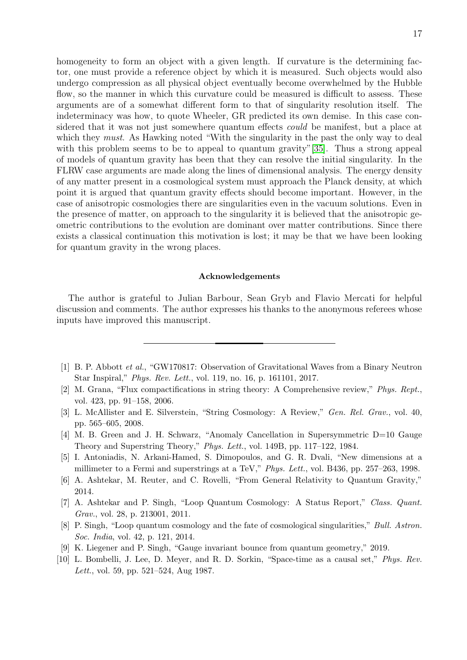homogeneity to form an object with a given length. If curvature is the determining factor, one must provide a reference object by which it is measured. Such objects would also undergo compression as all physical object eventually become overwhelmed by the Hubble flow, so the manner in which this curvature could be measured is difficult to assess. These arguments are of a somewhat different form to that of singularity resolution itself. The indeterminacy was how, to quote Wheeler, GR predicted its own demise. In this case considered that it was not just somewhere quantum effects *could* be manifest, but a place at which they *must*. As Hawking noted "With the singularity in the past the only way to deal with this problem seems to be to appeal to quantum gravity"[\[35\]](#page-18-0). Thus a strong appeal of models of quantum gravity has been that they can resolve the initial singularity. In the FLRW case arguments are made along the lines of dimensional analysis. The energy density of any matter present in a cosmological system must approach the Planck density, at which point it is argued that quantum gravity effects should become important. However, in the case of anisotropic cosmologies there are singularities even in the vacuum solutions. Even in the presence of matter, on approach to the singularity it is believed that the anisotropic geometric contributions to the evolution are dominant over matter contributions. Since there exists a classical continuation this motivation is lost; it may be that we have been looking for quantum gravity in the wrong places.

## Acknowledgements

The author is grateful to Julian Barbour, Sean Gryb and Flavio Mercati for helpful discussion and comments. The author expresses his thanks to the anonymous referees whose inputs have improved this manuscript.

- <span id="page-16-0"></span>[1] B. P. Abbott et al., "GW170817: Observation of Gravitational Waves from a Binary Neutron Star Inspiral," Phys. Rev. Lett., vol. 119, no. 16, p. 161101, 2017.
- <span id="page-16-1"></span>[2] M. Grana, "Flux compactifications in string theory: A Comprehensive review," Phys. Rept., vol. 423, pp. 91–158, 2006.
- [3] L. McAllister and E. Silverstein, "String Cosmology: A Review," Gen. Rel. Grav., vol. 40, pp. 565–605, 2008.
- [4] M. B. Green and J. H. Schwarz, "Anomaly Cancellation in Supersymmetric D=10 Gauge Theory and Superstring Theory," Phys. Lett., vol. 149B, pp. 117–122, 1984.
- <span id="page-16-2"></span>[5] I. Antoniadis, N. Arkani-Hamed, S. Dimopoulos, and G. R. Dvali, "New dimensions at a millimeter to a Fermi and superstrings at a TeV," Phys. Lett., vol. B436, pp. 257–263, 1998.
- <span id="page-16-3"></span>[6] A. Ashtekar, M. Reuter, and C. Rovelli, "From General Relativity to Quantum Gravity," 2014.
- <span id="page-16-4"></span>[7] A. Ashtekar and P. Singh, "Loop Quantum Cosmology: A Status Report," Class. Quant. Grav., vol. 28, p. 213001, 2011.
- <span id="page-16-5"></span>[8] P. Singh, "Loop quantum cosmology and the fate of cosmological singularities," Bull. Astron. Soc. India, vol. 42, p. 121, 2014.
- <span id="page-16-6"></span>[9] K. Liegener and P. Singh, "Gauge invariant bounce from quantum geometry," 2019.
- <span id="page-16-7"></span>[10] L. Bombelli, J. Lee, D. Meyer, and R. D. Sorkin, "Space-time as a causal set," Phys. Rev. Lett., vol. 59, pp. 521–524, Aug 1987.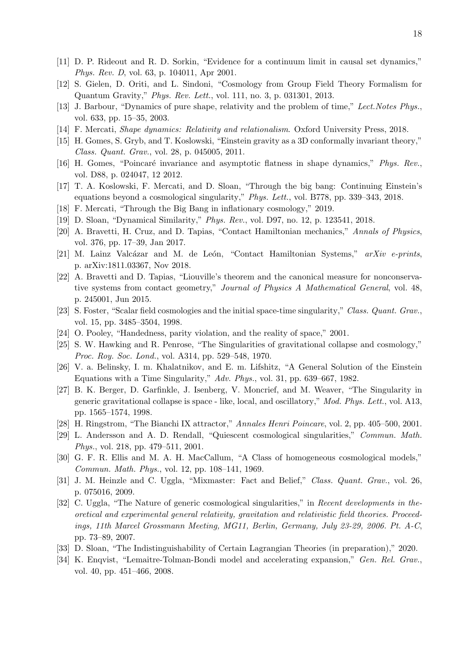- <span id="page-17-0"></span>[11] D. P. Rideout and R. D. Sorkin, "Evidence for a continuum limit in causal set dynamics," Phys. Rev. D, vol. 63, p. 104011, Apr 2001.
- <span id="page-17-1"></span>[12] S. Gielen, D. Oriti, and L. Sindoni, "Cosmology from Group Field Theory Formalism for Quantum Gravity," Phys. Rev. Lett., vol. 111, no. 3, p. 031301, 2013.
- <span id="page-17-2"></span>[13] J. Barbour, "Dynamics of pure shape, relativity and the problem of time," Lect. Notes Phys., vol. 633, pp. 15–35, 2003.
- [14] F. Mercati, Shape dynamics: Relativity and relationalism. Oxford University Press, 2018.
- [15] H. Gomes, S. Gryb, and T. Koslowski, "Einstein gravity as a 3D conformally invariant theory," Class. Quant. Grav., vol. 28, p. 045005, 2011.
- <span id="page-17-3"></span>[16] H. Gomes, "Poincaré invariance and asymptotic flatness in shape dynamics," Phys. Rev., vol. D88, p. 024047, 12 2012.
- <span id="page-17-4"></span>[17] T. A. Koslowski, F. Mercati, and D. Sloan, "Through the big bang: Continuing Einstein's equations beyond a cosmological singularity," Phys. Lett., vol. B778, pp. 339–343, 2018.
- <span id="page-17-5"></span>[18] F. Mercati, "Through the Big Bang in inflationary cosmology," 2019.
- <span id="page-17-6"></span>[19] D. Sloan, "Dynamical Similarity," Phys. Rev., vol. D97, no. 12, p. 123541, 2018.
- <span id="page-17-7"></span>[20] A. Bravetti, H. Cruz, and D. Tapias, "Contact Hamiltonian mechanics," Annals of Physics, vol. 376, pp. 17–39, Jan 2017.
- <span id="page-17-8"></span>[21] M. Lainz Valcázar and M. de León, "Contact Hamiltonian Systems,"  $arXiv$  e-prints, p. arXiv:1811.03367, Nov 2018.
- <span id="page-17-9"></span>[22] A. Bravetti and D. Tapias, "Liouville's theorem and the canonical measure for nonconservative systems from contact geometry," Journal of Physics A Mathematical General, vol. 48, p. 245001, Jun 2015.
- <span id="page-17-10"></span>[23] S. Foster, "Scalar field cosmologies and the initial space-time singularity," Class. Quant. Grav., vol. 15, pp. 3485–3504, 1998.
- <span id="page-17-11"></span>[24] O. Pooley, "Handedness, parity violation, and the reality of space," 2001.
- <span id="page-17-12"></span>[25] S. W. Hawking and R. Penrose, "The Singularities of gravitational collapse and cosmology," Proc. Roy. Soc. Lond., vol. A314, pp. 529–548, 1970.
- <span id="page-17-13"></span>[26] V. a. Belinsky, I. m. Khalatnikov, and E. m. Lifshitz, "A General Solution of the Einstein Equations with a Time Singularity," Adv. Phys., vol. 31, pp. 639–667, 1982.
- [27] B. K. Berger, D. Garfinkle, J. Isenberg, V. Moncrief, and M. Weaver, "The Singularity in generic gravitational collapse is space - like, local, and oscillatory," Mod. Phys. Lett., vol. A13, pp. 1565–1574, 1998.
- [28] H. Ringstrom, "The Bianchi IX attractor," Annales Henri Poincare, vol. 2, pp. 405–500, 2001.
- <span id="page-17-14"></span>[29] L. Andersson and A. D. Rendall, "Quiescent cosmological singularities," Commun. Math. Phys., vol. 218, pp. 479–511, 2001.
- <span id="page-17-15"></span>[30] G. F. R. Ellis and M. A. H. MacCallum, "A Class of homogeneous cosmological models," Commun. Math. Phys., vol. 12, pp. 108–141, 1969.
- [31] J. M. Heinzle and C. Uggla, "Mixmaster: Fact and Belief," Class. Quant. Grav., vol. 26, p. 075016, 2009.
- <span id="page-17-16"></span>[32] C. Uggla, "The Nature of generic cosmological singularities," in Recent developments in theoretical and experimental general relativity, gravitation and relativistic field theories. Proceedings, 11th Marcel Grossmann Meeting, MG11, Berlin, Germany, July 23-29, 2006. Pt. A-C, pp. 73–89, 2007.
- <span id="page-17-17"></span>[33] D. Sloan, "The Indistinguishability of Certain Lagrangian Theories (in preparation)," 2020.
- <span id="page-17-18"></span>[34] K. Enqvist, "Lemaitre-Tolman-Bondi model and accelerating expansion," Gen. Rel. Grav., vol. 40, pp. 451–466, 2008.